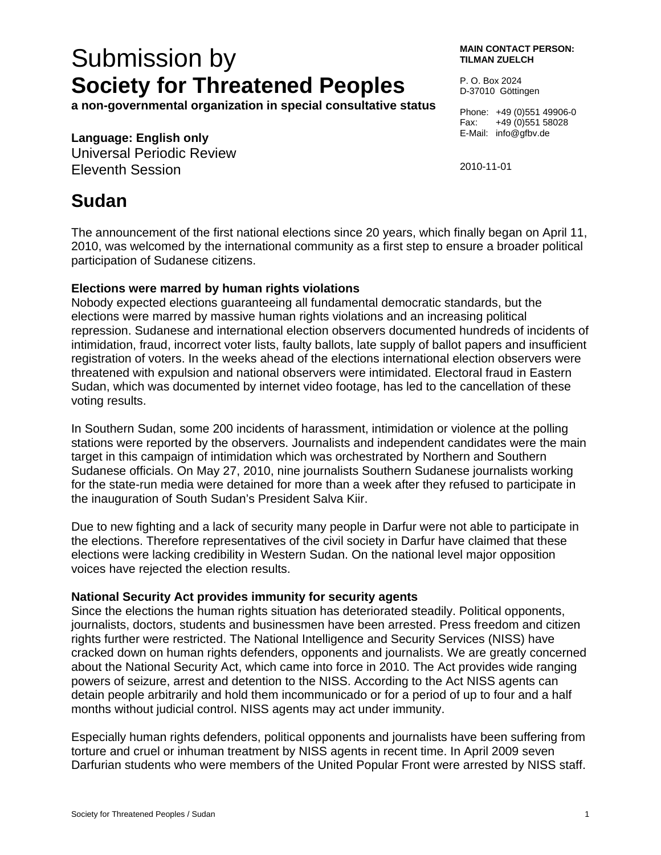# Submission by **Society for Threatened Peoples**

**a non-governmental organization in special consultative status** 

### **Language: English only**

Universal Periodic Review Eleventh Session

#### **MAIN CONTACT PERSON: TILMAN ZUELCH**

P. O. Box 2024 D-37010 Göttingen

Phone: +49 (0)551 49906-0 Fax: +49 (0)551 58028 E-Mail: info@gfbv.de

2010-11-01

## **Sudan**

The announcement of the first national elections since 20 years, which finally began on April 11, 2010, was welcomed by the international community as a first step to ensure a broader political participation of Sudanese citizens.

#### **Elections were marred by human rights violations**

Nobody expected elections guaranteeing all fundamental democratic standards, but the elections were marred by massive human rights violations and an increasing political repression. Sudanese and international election observers documented hundreds of incidents of intimidation, fraud, incorrect voter lists, faulty ballots, late supply of ballot papers and insufficient registration of voters. In the weeks ahead of the elections international election observers were threatened with expulsion and national observers were intimidated. Electoral fraud in Eastern Sudan, which was documented by internet video footage, has led to the cancellation of these voting results.

In Southern Sudan, some 200 incidents of harassment, intimidation or violence at the polling stations were reported by the observers. Journalists and independent candidates were the main target in this campaign of intimidation which was orchestrated by Northern and Southern Sudanese officials. On May 27, 2010, nine journalists Southern Sudanese journalists working for the state-run media were detained for more than a week after they refused to participate in the inauguration of South Sudan's President Salva Kiir.

Due to new fighting and a lack of security many people in Darfur were not able to participate in the elections. Therefore representatives of the civil society in Darfur have claimed that these elections were lacking credibility in Western Sudan. On the national level major opposition voices have rejected the election results.

#### **National Security Act provides immunity for security agents**

Since the elections the human rights situation has deteriorated steadily. Political opponents, journalists, doctors, students and businessmen have been arrested. Press freedom and citizen rights further were restricted. The National Intelligence and Security Services (NISS) have cracked down on human rights defenders, opponents and journalists. We are greatly concerned about the National Security Act, which came into force in 2010. The Act provides wide ranging powers of seizure, arrest and detention to the NISS. According to the Act NISS agents can detain people arbitrarily and hold them incommunicado or for a period of up to four and a half months without judicial control. NISS agents may act under immunity.

Especially human rights defenders, political opponents and journalists have been suffering from torture and cruel or inhuman treatment by NISS agents in recent time. In April 2009 seven Darfurian students who were members of the United Popular Front were arrested by NISS staff.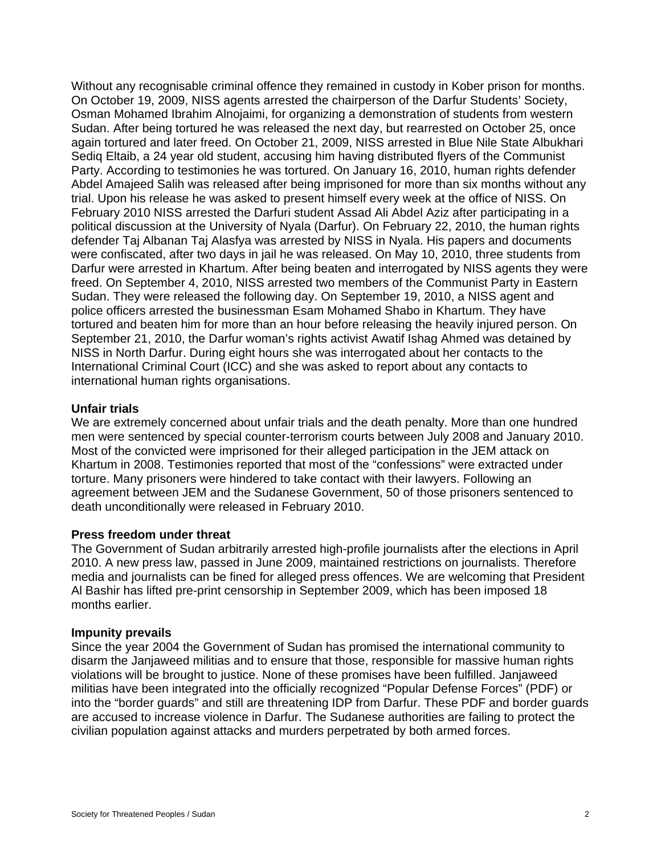Without any recognisable criminal offence they remained in custody in Kober prison for months. On October 19, 2009, NISS agents arrested the chairperson of the Darfur Students' Society, Osman Mohamed Ibrahim Alnojaimi, for organizing a demonstration of students from western Sudan. After being tortured he was released the next day, but rearrested on October 25, once again tortured and later freed. On October 21, 2009, NISS arrested in Blue Nile State Albukhari Sediq Eltaib, a 24 year old student, accusing him having distributed flyers of the Communist Party. According to testimonies he was tortured. On January 16, 2010, human rights defender Abdel Amajeed Salih was released after being imprisoned for more than six months without any trial. Upon his release he was asked to present himself every week at the office of NISS. On February 2010 NISS arrested the Darfuri student Assad Ali Abdel Aziz after participating in a political discussion at the University of Nyala (Darfur). On February 22, 2010, the human rights defender Taj Albanan Taj Alasfya was arrested by NISS in Nyala. His papers and documents were confiscated, after two days in jail he was released. On May 10, 2010, three students from Darfur were arrested in Khartum. After being beaten and interrogated by NISS agents they were freed. On September 4, 2010, NISS arrested two members of the Communist Party in Eastern Sudan. They were released the following day. On September 19, 2010, a NISS agent and police officers arrested the businessman Esam Mohamed Shabo in Khartum. They have tortured and beaten him for more than an hour before releasing the heavily injured person. On September 21, 2010, the Darfur woman's rights activist Awatif Ishag Ahmed was detained by NISS in North Darfur. During eight hours she was interrogated about her contacts to the International Criminal Court (ICC) and she was asked to report about any contacts to international human rights organisations.

#### **Unfair trials**

We are extremely concerned about unfair trials and the death penalty. More than one hundred men were sentenced by special counter-terrorism courts between July 2008 and January 2010. Most of the convicted were imprisoned for their alleged participation in the JEM attack on Khartum in 2008. Testimonies reported that most of the "confessions" were extracted under torture. Many prisoners were hindered to take contact with their lawyers. Following an agreement between JEM and the Sudanese Government, 50 of those prisoners sentenced to death unconditionally were released in February 2010.

#### **Press freedom under threat**

The Government of Sudan arbitrarily arrested high-profile journalists after the elections in April 2010. A new press law, passed in June 2009, maintained restrictions on journalists. Therefore media and journalists can be fined for alleged press offences. We are welcoming that President Al Bashir has lifted pre-print censorship in September 2009, which has been imposed 18 months earlier.

#### **Impunity prevails**

Since the year 2004 the Government of Sudan has promised the international community to disarm the Janjaweed militias and to ensure that those, responsible for massive human rights violations will be brought to justice. None of these promises have been fulfilled. Janjaweed militias have been integrated into the officially recognized "Popular Defense Forces" (PDF) or into the "border guards" and still are threatening IDP from Darfur. These PDF and border guards are accused to increase violence in Darfur. The Sudanese authorities are failing to protect the civilian population against attacks and murders perpetrated by both armed forces.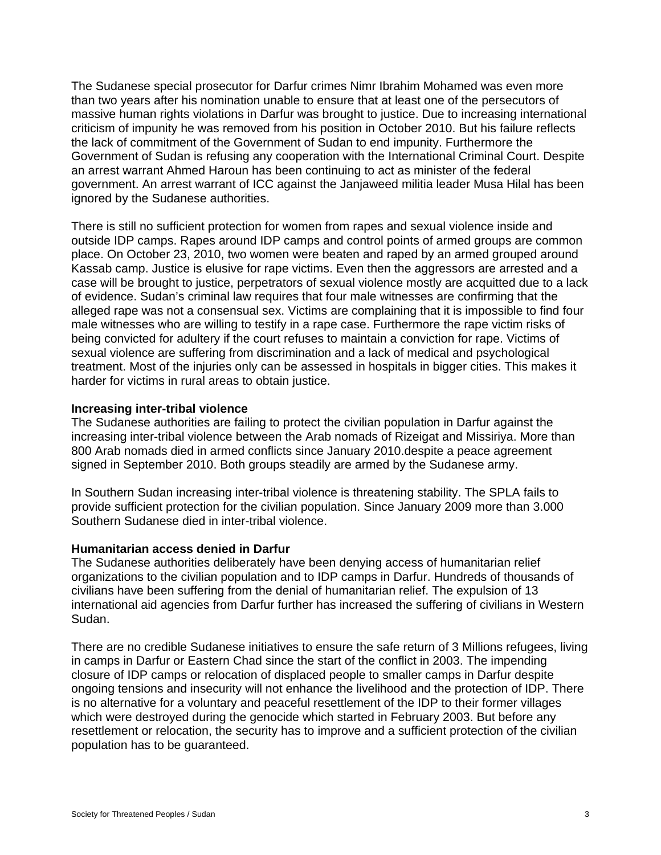The Sudanese special prosecutor for Darfur crimes Nimr Ibrahim Mohamed was even more than two years after his nomination unable to ensure that at least one of the persecutors of massive human rights violations in Darfur was brought to justice. Due to increasing international criticism of impunity he was removed from his position in October 2010. But his failure reflects the lack of commitment of the Government of Sudan to end impunity. Furthermore the Government of Sudan is refusing any cooperation with the International Criminal Court. Despite an arrest warrant Ahmed Haroun has been continuing to act as minister of the federal government. An arrest warrant of ICC against the Janjaweed militia leader Musa Hilal has been ignored by the Sudanese authorities.

There is still no sufficient protection for women from rapes and sexual violence inside and outside IDP camps. Rapes around IDP camps and control points of armed groups are common place. On October 23, 2010, two women were beaten and raped by an armed grouped around Kassab camp. Justice is elusive for rape victims. Even then the aggressors are arrested and a case will be brought to justice, perpetrators of sexual violence mostly are acquitted due to a lack of evidence. Sudan's criminal law requires that four male witnesses are confirming that the alleged rape was not a consensual sex. Victims are complaining that it is impossible to find four male witnesses who are willing to testify in a rape case. Furthermore the rape victim risks of being convicted for adultery if the court refuses to maintain a conviction for rape. Victims of sexual violence are suffering from discrimination and a lack of medical and psychological treatment. Most of the injuries only can be assessed in hospitals in bigger cities. This makes it harder for victims in rural areas to obtain justice.

#### **Increasing inter-tribal violence**

The Sudanese authorities are failing to protect the civilian population in Darfur against the increasing inter-tribal violence between the Arab nomads of Rizeigat and Missiriya. More than 800 Arab nomads died in armed conflicts since January 2010.despite a peace agreement signed in September 2010. Both groups steadily are armed by the Sudanese army.

In Southern Sudan increasing inter-tribal violence is threatening stability. The SPLA fails to provide sufficient protection for the civilian population. Since January 2009 more than 3.000 Southern Sudanese died in inter-tribal violence.

#### **Humanitarian access denied in Darfur**

The Sudanese authorities deliberately have been denying access of humanitarian relief organizations to the civilian population and to IDP camps in Darfur. Hundreds of thousands of civilians have been suffering from the denial of humanitarian relief. The expulsion of 13 international aid agencies from Darfur further has increased the suffering of civilians in Western Sudan.

There are no credible Sudanese initiatives to ensure the safe return of 3 Millions refugees, living in camps in Darfur or Eastern Chad since the start of the conflict in 2003. The impending closure of IDP camps or relocation of displaced people to smaller camps in Darfur despite ongoing tensions and insecurity will not enhance the livelihood and the protection of IDP. There is no alternative for a voluntary and peaceful resettlement of the IDP to their former villages which were destroyed during the genocide which started in February 2003. But before any resettlement or relocation, the security has to improve and a sufficient protection of the civilian population has to be guaranteed.